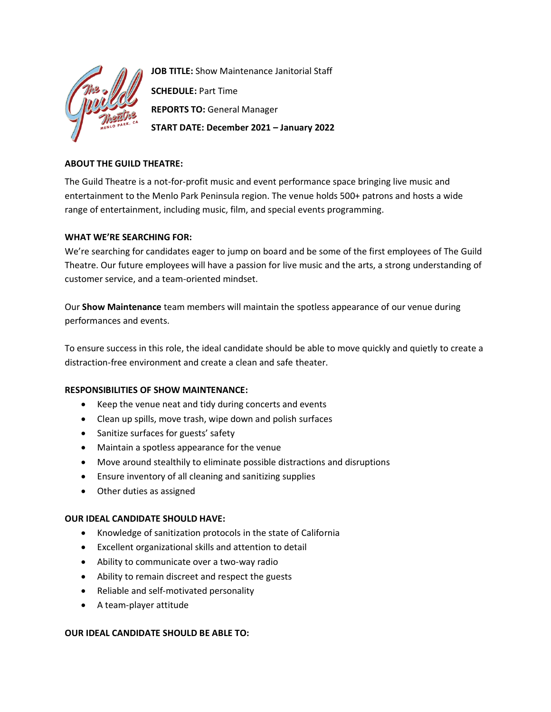

**JOB TITLE:** Show Maintenance Janitorial Staff **SCHEDULE:** Part Time **REPORTS TO:** General Manager **START DATE: December 2021 – January 2022**

# **ABOUT THE GUILD THEATRE:**

The Guild Theatre is a not-for-profit music and event performance space bringing live music and entertainment to the Menlo Park Peninsula region. The venue holds 500+ patrons and hosts a wide range of entertainment, including music, film, and special events programming.

# **WHAT WE'RE SEARCHING FOR:**

We're searching for candidates eager to jump on board and be some of the first employees of The Guild Theatre. Our future employees will have a passion for live music and the arts, a strong understanding of customer service, and a team-oriented mindset.

Our **Show Maintenance** team members will maintain the spotless appearance of our venue during performances and events.

To ensure success in this role, the ideal candidate should be able to move quickly and quietly to create a distraction-free environment and create a clean and safe theater.

### **RESPONSIBILITIES OF SHOW MAINTENANCE:**

- Keep the venue neat and tidy during concerts and events
- Clean up spills, move trash, wipe down and polish surfaces
- Sanitize surfaces for guests' safety
- Maintain a spotless appearance for the venue
- Move around stealthily to eliminate possible distractions and disruptions
- Ensure inventory of all cleaning and sanitizing supplies
- Other duties as assigned

### **OUR IDEAL CANDIDATE SHOULD HAVE:**

- Knowledge of sanitization protocols in the state of California
- Excellent organizational skills and attention to detail
- Ability to communicate over a two-way radio
- Ability to remain discreet and respect the guests
- Reliable and self-motivated personality
- A team-player attitude

### **OUR IDEAL CANDIDATE SHOULD BE ABLE TO:**